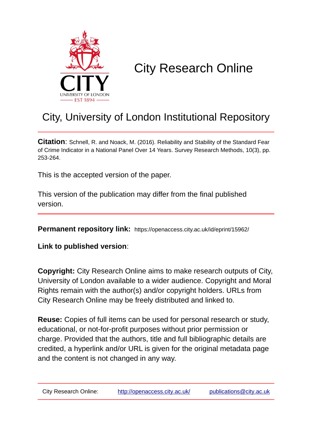

# City Research Online

# City, University of London Institutional Repository

**Citation**: Schnell, R. and Noack, M. (2016). Reliability and Stability of the Standard Fear of Crime Indicator in a National Panel Over 14 Years. Survey Research Methods, 10(3), pp. 253-264.

This is the accepted version of the paper.

This version of the publication may differ from the final published version.

**Permanent repository link:** https://openaccess.city.ac.uk/id/eprint/15962/

**Link to published version**:

**Copyright:** City Research Online aims to make research outputs of City, University of London available to a wider audience. Copyright and Moral Rights remain with the author(s) and/or copyright holders. URLs from City Research Online may be freely distributed and linked to.

**Reuse:** Copies of full items can be used for personal research or study, educational, or not-for-profit purposes without prior permission or charge. Provided that the authors, title and full bibliographic details are credited, a hyperlink and/or URL is given for the original metadata page and the content is not changed in any way.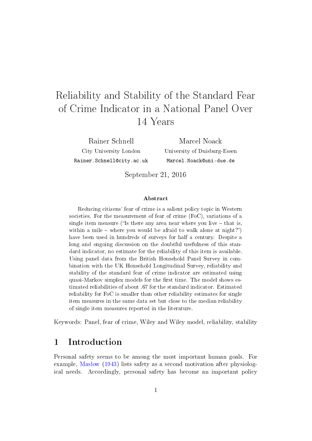# Reliability and Stability of the Standard Fear of Crime Indicator in a National Panel Over 14 Years

Rainer Schnell City University London Rainer.Schnell@city.ac.uk

Marcel Noack University of Duisburg-Essen Marcel.Noack@uni-due.de

September 21, 2016

#### Abstract

Reducing citizens' fear of crime is a salient policy topic in Western societies. For the measurement of fear of crime (FoC), variations of a single item measure ("Is there any area near where you live  $-$  that is, within a mile – where you would be afraid to walk alone at night?") have been used in hundreds of surveys for half a century. Despite a long and ongoing discussion on the doubtful usefulness of this standard indicator, no estimate for the reliability of this item is available. Using panel data from the British Household Panel Survey in combination with the UK Household Longitudinal Survey, reliability and stability of the standard fear of crime indicator are estimated using quasi-Markov simplex models for the first time. The model shows estimated reliabilities of about .67 for the standard indicator. Estimated reliability for FoC is smaller than other reliability estimates for single item measures in the same data set but close to the median reliability of single item measures reported in the literature.

Keywords: Panel, fear of crime, Wiley and Wiley model, reliability, stability

#### 1 Introduction

Personal safety seems to be among the most important human goals. For example, [Maslow](#page-21-0) [\(1943\)](#page-21-0) lists safety as a second motivation after physiological needs. Accordingly, personal safety has become an important policy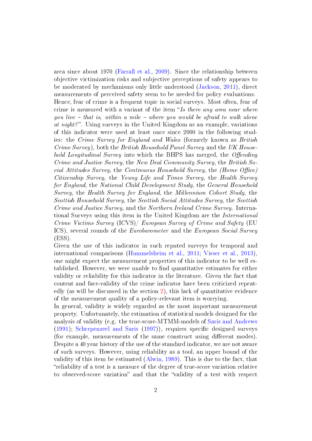area since about 1970 [\(Farrall et al.,](#page-19-0) [2009\)](#page-19-0). Since the relationship between objective victimization risks and subjective perceptions of safety appears to be moderated by mechanisms only little understood [\(Jackson,](#page-20-0) [2011\)](#page-20-0), direct measurements of perceived safety seem to be needed for policy evaluations. Hence, fear of crime is a frequent topic in social surveys. Most often, fear of crime is measured with a variant of the item "Is there any area near where you live  $-$  that is, within a mile  $-$  where you would be afraid to walk alone at night?. Using surveys in the United Kingdom as an example, variations of this indicator were used at least once since 2000 in the following studies: the Crime Survey for England and Wales (formerly known as British Crime Survey), both the British Household Panel Survey and the UK Household Longitudinal Survey into which the BHPS has merged, the Offending Crime and Justice Survey, the New Deal Community Survey, the British Social Attitudes Survey, the Continuous Household Survey, the  $(Home\;Office)$ Citizenship Survey, the Young Life and Times Survey, the Health Survey for England, the National Child Development Study, the General Household Survey, the Health Survey for England, the Millennium Cohort Study, the Scottish Household Survey, the Scottish Social Attitudes Survey, the Scottish Crime and Justice Survey, and the Northern Ireland Crime Survey. International Surveys using this item in the United Kingdom are the International Crime Victims Survey (ICVS)/ European Survey of Crime and Safety (EU ICS), several rounds of the Eurobarometer and the European Social Survey (ESS).

Given the use of this indicator in such reputed surveys for temporal and international comparisons [\(Hummelsheim et al.,](#page-20-1) [2011;](#page-20-1) [Visser et al.,](#page-22-0) [2013\)](#page-22-0), one might expect the measurement properties of this indicator to be well established. However, we were unable to find quantitative estimates for either validity or reliability for this indicator in the literature. Given the fact that content and face-validity of the crime indicator have been criticized repeatedly (as will be discussed in the section [2\)](#page-3-0), this lack of quantitative evidence of the measurement quality of a policy-relevant item is worrying.

In general, validity is widely regarded as the most important measurement property. Unfortunately, the estimation of statistical models designed for the analysis of validity (e.g. the true-score-MTMM-models of [Saris and Andrews](#page-21-1)  $(1991)$ ; [Scherpenzeel and Saris](#page-21-2)  $(1997)$ ), requires specific designed surveys (for example, measurements of the same construct using different modes). Despite a 40 year history of the use of the standard indicator, we are not aware of such surveys. However, using reliability as a tool, an upper bound of the validity of this item be estimated [\(Alwin,](#page-19-1) [1989\)](#page-19-1). This is due to the fact, that reliability of a test is a measure of the degree of true-score variation relative to observed-score variation" and that the "validity of a test with respect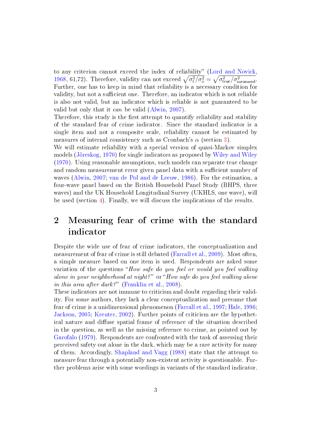to any criterion cannot exceed the index of reliability" [\(Lord and Novick,](#page-21-3) [1968,](#page-21-3) 61,72). Therefore, validity can not exceed  $\sqrt{\sigma_t^2/\sigma_x^2} = \sqrt{\sigma_{\text{true}}^2/\sigma_{\text{measured}}^2}$ . Further, one has to keep in mind that reliability is a necessary condition for validity, but not a sufficient one. Therefore, an indicator which is not reliable is also not valid, but an indicator which is reliable is not guaranteed to be valid but only that it can be valid [\(Alwin,](#page-19-2) [2007\)](#page-19-2).

Therefore, this study is the first attempt to quantify reliability and stability of the standard fear of crime indicator. Since the standard indicator is a single item and not a composite scale, reliability cannot be estimated by measures of internal consistency such as Cronbach's  $\alpha$  (section [3\)](#page-5-0).

We will estimate reliability with a special version of quasi-Markov simplex models [\(Jöreskog,](#page-20-2) [1970\)](#page-20-2) for single indicators as proposed by [Wiley and Wiley](#page-23-0) [\(1970\)](#page-23-0). Using reasonable assumptions, such models can separate true change and random measurement error given panel data with a sufficient number of waves [\(Alwin,](#page-19-2) [2007;](#page-19-2) [van de Pol and de Leeuw,](#page-22-1) [1986\)](#page-22-1). For the estimation, a four-wave panel based on the British Household Panel Study (BHPS, three waves) and the UK Household Longitudinal Survey (UKHLS, one wave), will be used (section [4\)](#page-9-0). Finally, we will discuss the implications of the results.

## <span id="page-3-0"></span>2 Measuring fear of crime with the standard indicator

Despite the wide use of fear of crime indicators, the conceptualization and measurement of fear of crime is still debated [\(Farrall et al.,](#page-19-0) [2009\)](#page-19-0). Most often, a simple measure based on one item is used. Respondents are asked some variation of the questions "How safe do you feel or would you feel walking alone in your neighborhood at night?"  $or "How safe do you feel walking alone$ in this area after dark?" [\(Franklin et al.,](#page-19-3) [2008\)](#page-19-3).

These indicators are not immune to criticism and doubt regarding their validity. For some authors, they lack a clear conceptualization and presume that fear of crime is a unidimensional phenomenon [\(Farrall et al.,](#page-19-4) [1997;](#page-19-4) [Hale,](#page-20-3) [1996;](#page-20-3) [Jackson,](#page-20-4) [2005;](#page-20-4) [Kreuter,](#page-20-5) [2002\)](#page-20-5). Further points of criticism are the hypothetical nature and diffuse spatial frame of reference of the situation described in the question, as well as the missing reference to crime, as pointed out by [Garofalo](#page-19-5) [\(1979\)](#page-19-5). Respondents are confronted with the task of assessing their perceived safety out alone in the dark, which may be a rare activity for many of them. Accordingly, [Shapland and Vagg](#page-22-2) [\(1988\)](#page-22-2) state that the attempt to measure fear through a potentially non-existent activity is questionable. Further problems arise with some wordings in variants of the standard indicator.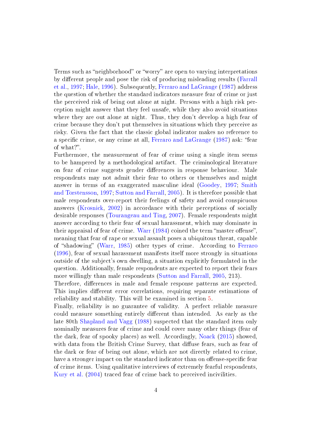Terms such as "neighborhood" or "worry" are open to varying interpretations by different people and pose the risk of producing misleading results [\(Farrall](#page-19-4) [et al.,](#page-19-4) [1997;](#page-19-4) [Hale,](#page-20-3) [1996\)](#page-20-3). Subsequently, [Ferraro and LaGrange](#page-19-6) [\(1987\)](#page-19-6) address the question of whether the standard indicators measure fear of crime or just the perceived risk of being out alone at night. Persons with a high risk perception might answer that they feel unsafe, while they also avoid situations where they are out alone at night. Thus, they don't develop a high fear of crime because they don't put themselves in situations which they perceive as risky. Given the fact that the classic global indicator makes no reference to a specific crime, or any crime at all, [Ferraro and LaGrange](#page-19-6) [\(1987\)](#page-19-6) ask: "fear of what?".

Furthermore, the measurement of fear of crime using a single item seems to be hampered by a methodological artifact. The criminological literature on fear of crime suggests gender differences in response behaviour. Male respondents may not admit their fear to others or themselves and might answer in terms of an exaggerated masculine ideal [\(Goodey,](#page-20-6) [1997;](#page-20-6) [Smith](#page-22-3) [and Torstensson,](#page-22-3) [1997;](#page-22-3) [Sutton and Farrall,](#page-22-4) [2005\)](#page-22-4). It is therefore possible that male respondents over-report their feelings of safety and avoid conspicuous answers [\(Krosnick,](#page-20-7) [2002\)](#page-20-7) in accordance with their perceptions of socially desirable responses [\(Tourangeau and Ting,](#page-22-5) [2007\)](#page-22-5). Female respondents might answer according to their fear of sexual harassment, which may dominate in their appraisal of fear of crime. [Warr](#page-23-1)  $(1984)$  coined the term "master offense". meaning that fear of rape or sexual assault poses a ubiquitous threat, capable of "shadowing" [\(Warr,](#page-23-2) [1985\)](#page-23-2) other types of crime. According to [Ferraro](#page-19-7) [\(1996\)](#page-19-7), fear of sexual harassment manifests itself more strongly in situations outside of the subject's own dwelling, a situation explicitly formulated in the question. Additionally, female respondents are expected to report their fears more willingly than male respondents [\(Sutton and Farrall,](#page-22-4) [2005,](#page-22-4) 213).

Therefore, differences in male and female response patterns are expected. This implies different error correlations, requiring separate estimations of reliability and stability. This will be examined in section [5.](#page-10-0)

Finally, reliability is no guarantee of validity. A perfect reliable measure could measure something entirely different than intended. As early as the late 80th [Shapland and Vagg](#page-22-2) [\(1988\)](#page-22-2) suspected that the standard item only nominally measures fear of crime and could cover many other things (fear of the dark, fear of spooky places) as well. Accordingly, [Noack](#page-21-4) [\(2015\)](#page-21-4) showed, with data from the British Crime Survey, that diffuse fears, such as fear of the dark or fear of being out alone, which are not directly related to crime, have a stronger impact on the standard indicator than on offense-specific fear of crime items. Using qualitative interviews of extremely fearful respondents, [Kury et al.](#page-21-5) [\(2004\)](#page-21-5) traced fear of crime back to perceived incivilities.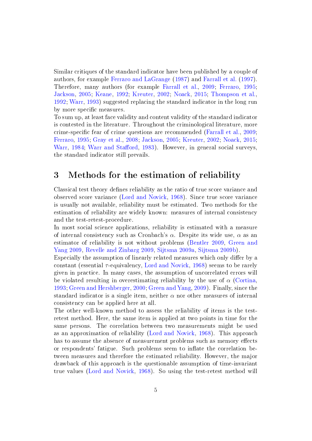Similar critiques of the standard indicator have been published by a couple of authors, for example [Ferraro and LaGrange](#page-19-6) [\(1987\)](#page-19-6) and [Farrall et al.](#page-19-4) [\(1997\)](#page-19-4). Therefore, many authors (for example [Farrall et al.,](#page-19-0) [2009;](#page-19-0) [Ferraro,](#page-19-8) [1995;](#page-19-8) [Jackson,](#page-20-4) [2005;](#page-20-4) [Keane,](#page-20-8) [1992;](#page-20-8) [Kreuter,](#page-20-5) [2002;](#page-20-5) [Noack,](#page-21-4) [2015;](#page-21-4) [Thompson et al.,](#page-22-6) [1992;](#page-22-6) [Warr,](#page-23-3) [1993\)](#page-23-3) suggested replacing the standard indicator in the long run by more specific measures.

To sum up, at least face validity and content validity of the standard indicator is contested in the literature. Throughout the criminological literature, more crime-specific fear of crime questions are recommended [\(Farrall et al.,](#page-19-0) [2009;](#page-19-0) [Ferraro,](#page-19-8) [1995;](#page-19-8) [Gray et al.,](#page-20-9) [2008;](#page-20-9) [Jackson,](#page-20-4) [2005;](#page-20-4) [Kreuter,](#page-20-5) [2002;](#page-20-5) [Noack,](#page-21-4) [2015;](#page-21-4) [Warr,](#page-23-1) [1984;](#page-23-1) Warr and Stafford, [1983\)](#page-23-4). However, in general social surveys. the standard indicator still prevails.

#### <span id="page-5-0"></span>3 Methods for the estimation of reliability

Classical test theory defines reliability as the ratio of true score variance and observed score variance [\(Lord and Novick,](#page-21-3) [1968\)](#page-21-3). Since true score variance is usually not available, reliability must be estimated. Two methods for the estimation of reliability are widely known: measures of internal consistency and the test-retest-procedure.

In most social science applications, reliability is estimated with a measure of internal consistency such as Cronbach's  $\alpha$ . Despite its wide use,  $\alpha$  as an estimator of reliability is not without problems [\(Bentler](#page-19-9) [2009,](#page-19-9) [Green and](#page-20-10) [Yang](#page-20-10) [2009,](#page-20-10) [Revelle and Zinbarg](#page-21-6) [2009,](#page-21-6) [Sijtsma](#page-22-7) [2009a,](#page-22-7) [Sijtsma](#page-22-8) [2009b\)](#page-22-8).

Especially the assumption of linearly related measures which only differ by a constant (essential τ-equivalency, [Lord and Novick,](#page-21-3) [1968\)](#page-21-3) seems to be rarely given in practice. In many cases, the assumption of uncorrelated errors will be violated resulting in overestimating reliability by the use of  $\alpha$  [\(Cortina,](#page-19-10) [1993;](#page-19-10) [Green and Hershberger,](#page-20-11) [2000;](#page-20-11) [Green and Yang,](#page-20-10) [2009\)](#page-20-10). Finally, since the standard indicator is a single item, neither  $\alpha$  nor other measures of internal consistency can be applied here at all.

The other well-known method to assess the reliability of items is the testretest method. Here, the same item is applied at two points in time for the same persons. The correlation between two measurements might be used as an approximation of reliability [\(Lord and Novick,](#page-21-3) [1968\)](#page-21-3). This approach has to assume the absence of measurement problems such as memory effects or respondents' fatigue. Such problems seem to inflate the correlation between measures and therefore the estimated reliability. However, the major drawback of this approach is the questionable assumption of time-invariant true values [\(Lord and Novick,](#page-21-3) [1968\)](#page-21-3). So using the test-retest method will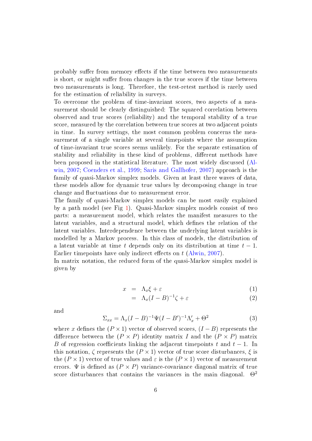probably suffer from memory effects if the time between two measurements is short, or might suffer from changes in the true scores if the time between two measurements is long. Therefore, the test-retest method is rarely used for the estimation of reliability in surveys.

To overcome the problem of time-invariant scores, two aspects of a measurement should be clearly distinguished: The squared correlation between observed and true scores (reliability) and the temporal stability of a true score, measured by the correlation between true scores at two adjacent points in time. In survey settings, the most common problem concerns the measurement of a single variable at several timepoints where the assumption of time-invariant true scores seems unlikely. For the separate estimation of stability and reliability in these kind of problems, different methods have been proposed in the statistical literature. The most widely discussed [\(Al](#page-19-2)[win,](#page-19-2) [2007;](#page-19-2) [Coenders et al.,](#page-19-11) [1999;](#page-19-11) [Saris and Gallhofer,](#page-21-7) [2007\)](#page-21-7) approach is the family of quasi-Markov simplex models. Given at least three waves of data, these models allow for dynamic true values by decomposing change in true change and fluctuations due to measurement error.

The family of quasi-Markov simplex models can be most easily explained by a path model (see Fig [1\)](#page-7-0). Quasi-Markov simplex models consist of two parts: a measurement model, which relates the manifest measures to the latent variables, and a structural model, which defines the relation of the latent variables. Interdependence between the underlying latent variables is modelled by a Markov process. In this class of models, the distribution of a latent variable at time t depends only on its distribution at time  $t - 1$ . Earlier timepoints have only indirect effects on  $t$  [\(Alwin,](#page-19-2) [2007\)](#page-19-2).

In matrix notation, the reduced form of the quasi-Markov simplex model is given by

$$
x = \Lambda_x \xi + \varepsilon \tag{1}
$$

$$
= \Lambda_x (I - B)^{-1} \zeta + \varepsilon \tag{2}
$$

and

$$
\Sigma_{xx} = \Lambda_x (I - B)^{-1} \Psi (I - B')^{-1} \Lambda_x' + \Theta^2
$$
 (3)

where x defines the  $(P \times 1)$  vector of observed scores,  $(I - B)$  represents the difference between the  $(P \times P)$  identity matrix I and the  $(P \times P)$  matrix B of regression coefficients linking the adjacent timepoints t and  $t - 1$ . In this notation,  $\zeta$  represents the  $(P \times 1)$  vector of true score disturbances,  $\xi$  is the  $(P \times 1)$  vector of true values and  $\varepsilon$  is the  $(P \times 1)$  vector of measurement errors.  $\Psi$  is defined as  $(P \times P)$  variance-covariance diagonal matrix of true score disturbances that contains the variances in the main diagonal.  $\Theta^2$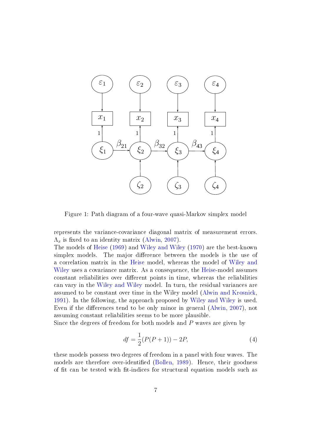

<span id="page-7-0"></span>Figure 1: Path diagram of a four-wave quasi-Markov simplex model

represents the variance-covariance diagonal matrix of measurement errors.  $\Lambda_x$  is fixed to an identity matrix [\(Alwin,](#page-19-2) [2007\)](#page-19-2).

The models of [Heise](#page-20-12) [\(1969\)](#page-20-12) and [Wiley and Wiley](#page-23-0) [\(1970\)](#page-23-0) are the best-known simplex models. The major difference between the models is the use of a correlation matrix in the [Heise](#page-20-12) model, whereas the model of [Wiley and](#page-23-0) [Wiley](#page-23-0) uses a covariance matrix. As a consequence, the [Heise-](#page-20-12)model assumes constant reliabilities over different points in time, whereas the reliabilities can vary in the [Wiley and Wiley](#page-23-0) model. In turn, the residual variances are assumed to be constant over time in the Wiley model [\(Alwin and Krosnick,](#page-19-12) [1991\)](#page-19-12). In the following, the approach proposed by [Wiley and Wiley](#page-23-0) is used. Even if the differences tend to be only minor in general  $(A\text{lwin}, 2007)$  $(A\text{lwin}, 2007)$ , not assuming constant reliabilities seems to be more plausible.

Since the degrees of freedom for both models and  $P$  waves are given by

$$
df = \frac{1}{2}(P(P+1)) - 2P,
$$
\n(4)

these models possess two degrees of freedom in a panel with four waves. The models are therefore over-identified [\(Bollen,](#page-19-13) [1989\)](#page-19-13). Hence, their goodness of fit can be tested with fit-indices for structural equation models such as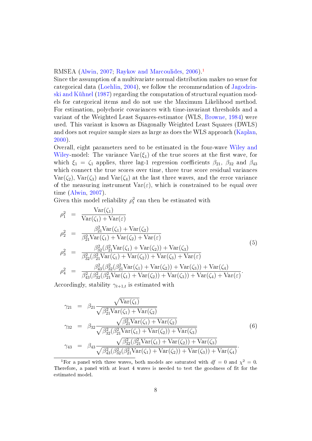RMSEA [\(Alwin,](#page-19-2) [2007;](#page-19-2) [Raykov and Marcoulides,](#page-21-8) [2006\)](#page-21-8).[1](#page-8-0)

Since the assumption of a multivariate normal distribution makes no sense for categorical data [\(Loehlin,](#page-21-9) [2004\)](#page-21-9), we follow the recommendation of [Jagodzin](#page-20-13)[ski and Kühnel](#page-20-13) [\(1987\)](#page-20-13) regarding the computation of structural equation models for categorical items and do not use the Maximum Likelihood method. For estimation, polychoric covariances with time-invariant thresholds and a variant of the Weighted Least Squares-estimator (WLS, [Browne,](#page-19-14) [1984\)](#page-19-14) were used. This variant is known as Diagonally Weighted Least Squares (DWLS) and does not require sample sizes as large as does the WLS approach [\(Kaplan,](#page-20-14) [2000\)](#page-20-14).

Overall, eight parameters need to be estimated in the four-wave [Wiley and](#page-23-0) [Wiley-](#page-23-0)model: The variance  $\text{Var}(\xi_1)$  of the true scores at the first wave, for which  $\xi_1 = \zeta_1$  applies, three lag-1 regression coefficients  $\beta_{21}$ ,  $\beta_{32}$  and  $\beta_{43}$ which connect the true scores over time, three true score residual variances  $\text{Var}(\zeta_2)$ ,  $\text{Var}(\zeta_3)$  and  $\text{Var}(\zeta_4)$  at the last three waves, and the error variance of the measuring instrument  $\text{Var}(\varepsilon)$ , which is constrained to be equal over time [\(Alwin,](#page-19-2) [2007\)](#page-19-2).

Given this model reliability  $\rho_t^2$  can then be estimated with

<span id="page-8-1"></span>
$$
\rho_1^2 = \frac{\text{Var}(\zeta_1)}{\text{Var}(\zeta_1) + \text{Var}(\varepsilon)}
$$
\n
$$
\rho_2^2 = \frac{\beta_{21}^2 \text{Var}(\zeta_1) + \text{Var}(\zeta_2)}{\beta_{21}^2 \text{Var}(\zeta_1) + \text{Var}(\zeta_2) + \text{Var}(\varepsilon)}
$$
\n
$$
\rho_3^2 = \frac{\beta_{32}^2 (\beta_{21}^2 \text{Var}(\zeta_1) + \text{Var}(\zeta_2)) + \text{Var}(\zeta_3)}{\beta_{32}^2 (\beta_{21}^2 \text{Var}(\zeta_1) + \text{Var}(\zeta_2)) + \text{Var}(\zeta_3) + \text{Var}(\varepsilon)}
$$
\n
$$
\rho_4^2 = \frac{\beta_{43}^2 (\beta_{32}^2 (\beta_{21}^2 \text{Var}(\zeta_1) + \text{Var}(\zeta_2)) + \text{Var}(\zeta_3)) + \text{Var}(\zeta_4)}{\beta_{43}^2 (\beta_{32}^2 (\beta_{21}^2 \text{Var}(\zeta_1) + \text{Var}(\zeta_2)) + \text{Var}(\zeta_3)) + \text{Var}(\zeta_4) + \text{Var}(\varepsilon)}
$$
\n(5)

Accordingly, stability  $\gamma_{t+1,t}$  is estimated with

<span id="page-8-2"></span>
$$
\gamma_{21} = \beta_{21} \frac{\sqrt{\text{Var}(\zeta_1)}}{\sqrt{\beta_{21}^2 \text{Var}(\zeta_1) + \text{Var}(\zeta_2)}}
$$
\n
$$
\gamma_{32} = \beta_{32} \frac{\sqrt{\beta_{21}^2 \text{Var}(\zeta_1) + \text{Var}(\zeta_2)}}{\sqrt{\beta_{32}^2 (\beta_{21}^2 \text{Var}(\zeta_1) + \text{Var}(\zeta_2)) + \text{Var}(\zeta_3)}}
$$
\n
$$
\gamma_{43} = \beta_{43} \frac{\sqrt{\beta_{32}^2 (\beta_{21}^2 \text{Var}(\zeta_1) + \text{Var}(\zeta_2)) + \text{Var}(\zeta_3)}}{\sqrt{\beta_{43}^2 (\beta_{32}^2 (\beta_{21}^2 \text{Var}(\zeta_1) + \text{Var}(\zeta_2)) + \text{Var}(\zeta_3)) + \text{Var}(\zeta_4)}}.
$$
\n(6)

<span id="page-8-0"></span><sup>&</sup>lt;sup>1</sup>For a panel with three waves, both models are saturated with  $df = 0$  and  $\chi^2 = 0$ . Therefore, a panel with at least 4 waves is needed to test the goodness of fit for the estimated model.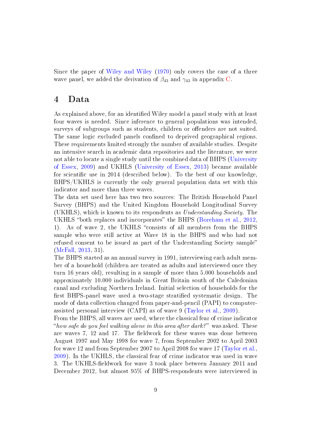Since the paper of [Wiley and Wiley](#page-23-0) [\(1970\)](#page-23-0) only covers the case of a three wave panel, we added the derivation of  $\beta_{43}$  and  $\gamma_{43}$  in appendix [C.](#page-18-0)

#### <span id="page-9-0"></span>4 Data

As explained above, for an identified Wiley model a panel study with at least four waves is needed. Since inference to general populations was intended, surveys of subgroups such as students, children or offenders are not suited. The same logic excluded panels confined to deprived geographical regions. These requirements limited strongly the number of available studies. Despite an intensive search in academic data repositories and the literature, we were not able to locate a single study until the combined data of BHPS [\(University](#page-22-9) [of Essex,](#page-22-9) [2009\)](#page-22-9) and UKHLS [\(University of Essex,](#page-22-10) [2013\)](#page-22-10) became available for scientific use in 2014 (described below). To the best of our knowledge, BHPS/UKHLS is currently the only general population data set with this indicator and more than three waves.

The data set used here has two two sources: The British Household Panel Survey (BHPS) and the United Kingdom Household Longitudinal Survey (UKHLS), which is known to its respondents as Understanding Society. The UKHLS "both replaces and incorporates" the BHPS [\(Boreham et al.,](#page-19-15) [2012,](#page-19-15) 1). As of wave 2, the UKHLS "consists of all members from the BHPS sample who were still active at Wave 18 in the BHPS and who had not refused consent to be issued as part of the Understanding Society sample [\(McFall,](#page-21-10) [2013,](#page-21-10) 31).

The BHPS started as an annual survey in 1991, interviewing each adult member of a household (children are treated as adults and interviewed once they turn 16 years old), resulting in a sample of more than 5.000 households and approximately 10.000 individuals in Great Britain south of the Caledonian canal and excluding Northern Ireland. Initial selection of households for the first BHPS-panel wave used a two-stage stratified systematic design. The mode of data collection changed from paper-and-pencil (PAPI) to computerassisted personal interview (CAPI) as of wave 9 [\(Taylor et al.,](#page-22-11) [2009\)](#page-22-11).

From the BHPS, all waves are used, where the classical fear of crime indicator "how safe do you feel walking alone in this area after dark?" was asked. These are waves 7, 12 and 17. The fieldwork for these waves was done between August 1997 and May 1998 for wave 7, from September 2002 to April 2003 for wave 12 and from September 2007 to April 2008 for wave 17 [\(Taylor et al.,](#page-22-11) [2009\)](#page-22-11). In the UKHLS, the classical fear of crime indicator was used in wave 3. The UKHLS-fieldwork for wave 3 took place between January 2011 and December 2012, but almost 95% of BHPS-respondents were interviewed in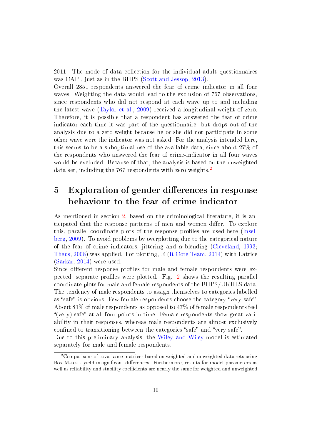2011. The mode of data collection for the individual adult questionnaires was CAPI, just as in the BHPS [\(Scott and Jessop,](#page-22-12) [2013\)](#page-22-12).

Overall 2851 respondents answered the fear of crime indicator in all four waves. Weighting the data would lead to the exclusion of 767 observations, since respondents who did not respond at each wave up to and including the latest wave [\(Taylor et al.,](#page-22-11) [2009\)](#page-22-11) received a longitudinal weight of zero. Therefore, it is possible that a respondent has answered the fear of crime indicator each time it was part of the questionnaire, but drops out of the analysis due to a zero weight because he or she did not participate in some other wave were the indicator was not asked. For the analysis intended here, this seems to be a suboptimal use of the available data, since about 27% of the respondents who answered the fear of crime-indicator in all four waves would be excluded. Because of that, the analysis is based on the unweighted data set, including the 767 respondents with zero weights.<sup>[2](#page-10-1)</sup>

# <span id="page-10-0"></span>5 Exploration of gender differences in response behaviour to the fear of crime indicator

As mentioned in section [2,](#page-3-0) based on the criminological literature, it is anticipated that the response patterns of men and women differ. To explore this, parallel coordinate plots of the response profiles are used here [\(Insel](#page-20-15)[berg,](#page-20-15) [2009\)](#page-20-15). To avoid problems by overplotting due to the categorical nature of the fear of crime indicators, jittering and  $\alpha$ -blending [\(Cleveland,](#page-19-16) [1993;](#page-19-16) [Theus,](#page-22-13) [2008\)](#page-22-13) was applied. For plotting, R [\(R Core Team,](#page-21-11) [2014\)](#page-21-11) with Lattice [\(Sarkar,](#page-21-12) [2014\)](#page-21-12) were used.

Since different response profiles for male and female respondents were expected, separate profiles were plotted. Fig.  $2$  shows the resulting parallel coordinate plots for male and female respondents of the BHPS/UKHLS data. The tendency of male respondents to assign themselves to categories labelled as "safe" is obvious. Few female respondents choose the category "very safe". About 81% of male respondents as opposed to 47% of female respondents feel "(very) safe" at all four points in time. Female respondents show great variability in their responses, whereas male respondents are almost exclusively confined to transitioning between the categories "safe" and "very safe". Due to this preliminary analysis, the [Wiley and Wiley-](#page-23-0)model is estimated separately for male and female respondents.

<span id="page-10-1"></span><sup>2</sup>Comparisons of covariance matrices based on weighted and unweighted data sets using Box M-tests yield insignificant differences. Furthermore, results for model parameters as well as reliability and stability coefficients are nearly the same for weighted and unweighted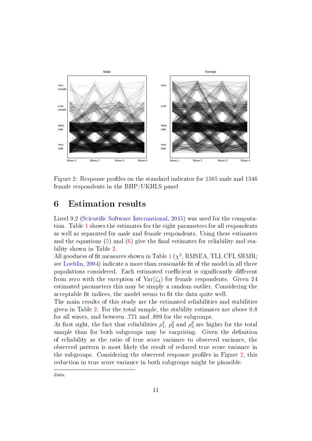

<span id="page-11-0"></span>Figure 2: Response profiles on the standard indicator for 1505 male and 1346 female respondents in the BHP/UKHLS panel

### 6 Estimation results

Lisrel 9.2 (Scientific Software International, [2015\)](#page-22-14) was used for the computation. Table [1](#page-12-0) shows the estimates for the eight parameters for all respondents as well as separated for male and female respondents. Using these estimates and the equations  $(5)$  and  $(6)$  give the final estimates for reliability and stability shown in Table [2.](#page-12-1)

All goodness of fit measures shown in Table [1](#page-12-0)  $(\chi^2, \mathrm{RMSEA}, \mathrm{TLI}, \mathrm{CFI}, \mathrm{SRMR};$ see [Loehlin,](#page-21-9) [2004\)](#page-21-9) indicate a more than reasonable fit of the model in all three populations considered. Each estimated coefficient is significantly different from zero with the exception of  $\text{Var}(\zeta_4)$  for female respondents. Given 24 estimated parameters this may be simply a random outlier. Considering the acceptable fit indices, the model seems to fit the data quite well.

The main results of this study are the estimated reliabilities and stabilities given in Table [2.](#page-12-1) For the total sample, the stability estimates are above 0.8 for all waves, and between .771 and .899 for the subgroups.

At first sight, the fact that reliabilities  $\rho_1^2$ ,  $\rho_2^2$  and  $\rho_3^2$  are higher for the total sample than for both subgroups may be surprising. Given the definition of reliability as the ratio of true score variance to observed variance, the observed pattern is most likely the result of reduced true score variance in the subgroups. Considering the observed response profiles in Figure [2,](#page-11-0) this reduction in true score variance in both subgroups might be plausible.

data.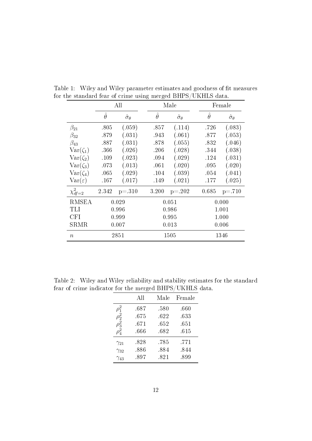<span id="page-12-0"></span>

|                    |                | All                     |                 | Male                    |                | Female                  |
|--------------------|----------------|-------------------------|-----------------|-------------------------|----------------|-------------------------|
|                    | $\hat{\theta}$ | $\hat{\sigma}_{\theta}$ | $\ddot{\theta}$ | $\hat{\sigma}_{\theta}$ | $\hat{\theta}$ | $\hat{\sigma}_{\theta}$ |
| $\beta_{21}$       | .805           | (.059)                  | .857            | (.114)                  | .726           | (.083)                  |
| $\beta_{32}$       | .879           | (.031)                  | .943            | (.061)                  | .877           | (.053)                  |
| $\beta_{43}$       | .887           | (.031)                  | .878            | (.055)                  | .832           | (.046)                  |
| $Var(\zeta_1)$     | .366           | (.026)                  | .206            | (.028)                  | .344           | (.038)                  |
| $Var(\zeta_2)$     | .109           | (.023)                  | .094            | (.029)                  | .124           | (.031)                  |
| $Var(\zeta_3)$     | .073           | (.013)                  | .061            | (.020)                  | .095           | (.020)                  |
| $Var(\zeta_4)$     | .065           | (.029)                  | .104            | (.039)                  | .054           | (.041)                  |
| $Var(\varepsilon)$ | .167           | (.017)                  | .149            | (.021)                  | .177           | (.025)                  |
| $\chi^2_{df=2}$    | 2.342          | $p = .310$              | 3.200           | $p = 0.202$             | 0.685          | $p = .710$              |
| <b>RMSEA</b>       |                | 0.029                   |                 | 0.051                   |                | 0.000                   |
| TLI                |                | 0.996                   |                 | 0.986                   |                | 1.001                   |
| <b>CFI</b>         |                | 0.999                   |                 | 0.995                   |                | 1.000                   |
| SRMR               |                | 0.007                   |                 | 0.013                   |                | 0.006                   |
| $\boldsymbol{n}$   |                | 2851                    |                 | 1505                    |                | 1346                    |

Table 1: Wiley and Wiley parameter estimates and goodness of fit measures for the standard fear of crime using merged BHPS/UKHLS data.

<span id="page-12-1"></span>Table 2: Wiley and Wiley reliability and stability estimates for the standard fear of crime indicator for the merged BHPS/UKHLS data.

|                                 | All  | Male | Female |
|---------------------------------|------|------|--------|
| $\rho_1^2$                      | .687 | .580 | .660   |
| $\rho_2^2$                      | .675 | .622 | .633   |
| $\rho_3^2$                      | .671 | .652 | .651   |
| $\rho_{\scriptscriptstyle A}^2$ | .666 | .682 | .615   |
| $\gamma_{21}$                   | .828 | .785 | .771   |
| $\gamma_{32}$                   | .886 | .884 | .844   |
| $\gamma_{43}$                   | .897 | .821 | .899   |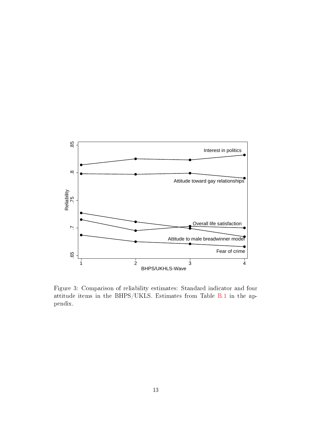

<span id="page-13-0"></span>Figure 3: Comparison of reliability estimates: Standard indicator and four attitude items in the BHPS/UKLS. Estimates from Table [B.1](#page-17-0) in the appendix.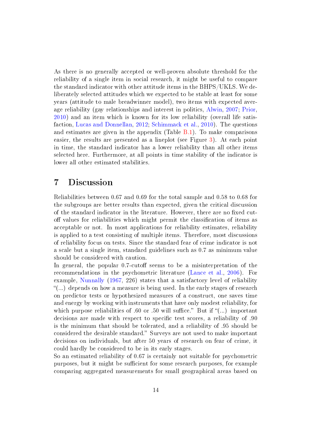As there is no generally accepted or well-proven absolute threshold for the reliability of a single item in social research, it might be useful to compare the standard indicator with other attitude items in the BHPS/UKLS. We deliberately selected attitudes which we expected to be stable at least for some years (attitude to male breadwinner model), two items with expected average reliability (gay relationships and interest in politics, [Alwin,](#page-19-2) [2007;](#page-19-2) [Prior,](#page-21-13) [2010\)](#page-21-13) and an item which is known for its low reliability (overall life satisfaction, [Lucas and Donnellan,](#page-21-14) [2012;](#page-21-14) [Schimmack et al.,](#page-21-15) [2010\)](#page-21-15). The questions and estimates are given in the appendix (Table  $B.1$ ). To make comparisons easier, the results are presented as a lineplot (see Figure [3\)](#page-13-0). At each point in time, the standard indicator has a lower reliability than all other items selected here. Furthermore, at all points in time stability of the indicator is lower all other estimated stabilities.

### 7 Discussion

Reliabilities between 0.67 and 0.69 for the total sample and 0.58 to 0.68 for the subgroups are better results than expected, given the critical discussion of the standard indicator in the literature. However, there are no fixed cutoff values for reliabilities which might permit the classification of items as acceptable or not. In most applications for reliability estimates, reliability is applied to a test consisting of multiple items. Therefore, most discussions of reliability focus on tests. Since the standard fear of crime indicator is not a scale but a single item, standard guidelines such as 0.7 as minimum value should be considered with caution.

In general, the popular  $0.7$ -cutoff seems to be a misinterpretation of the recommendations in the psychometric literature [\(Lance et al.,](#page-21-16) [2006\)](#page-21-16). For example, [Nunnally](#page-21-17) [\(1967,](#page-21-17) 226) states that a satisfactory level of reliability  $($ ...) depends on how a measure is being used. In the early stages of research on predictor tests or hypothesized measures of a construct, one saves time and energy by working with instruments that have only modest reliability, for which purpose reliabilities of .60 or .50 will suffice." But if " $(...)$  important decisions are made with respect to specific test scores, a reliability of .90 is the minimum that should be tolerated, and a reliability of .95 should be considered the desirable standard." Surveys are not used to make important decisions on individuals, but after 50 years of research on fear of crime, it could hardly be considered to be in its early stages.

So an estimated reliability of 0.67 is certainly not suitable for psychometric purposes, but it might be sufficient for some research purposes, for example comparing aggregated measurements for small geographical areas based on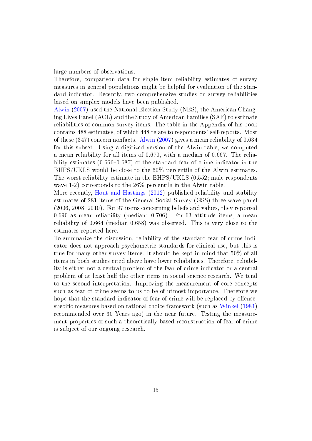large numbers of observations.

Therefore, comparison data for single item reliability estimates of survey measures in general populations might be helpful for evaluation of the standard indicator. Recently, two comprehensive studies on survey reliabilities based on simplex models have been published.

[Alwin](#page-19-2) [\(2007\)](#page-19-2) used the National Election Study (NES), the American Changing Lives Panel (ACL) and the Study of American Families (SAF) to estimate reliabilities of common survey items. The table in the Appendix of his book contains 488 estimates, of which 448 relate to respondents' self-reports. Most of these (347) concern nonfacts. [Alwin](#page-19-2) [\(2007\)](#page-19-2) gives a mean reliability of 0.634 for this subset. Using a digitized version of the Alwin table, we computed a mean reliability for all items of 0.670, with a median of 0.667. The reliability estimates  $(0.666-0.687)$  of the standard fear of crime indicator in the BHPS/UKLS would be close to the 50% percentile of the Alwin estimates. The worst reliability estimate in the BHPS/UKLS (0.552; male respondents wave 1-2) corresponds to the 26% percentile in the Alwin table.

More recently, [Hout and Hastings](#page-20-16) [\(2012\)](#page-20-16) published reliability and stability estimates of 281 items of the General Social Survey (GSS) three-wave panel (2006, 2008, 2010). For 97 items concerning beliefs and values, they reported 0.690 as mean reliability (median: 0.706). For 63 attitude items, a mean reliability of 0.664 (median 0.658) was observed. This is very close to the estimates reported here.

To summarize the discussion, reliability of the standard fear of crime indicator does not approach psychometric standards for clinical use, but this is true for many other survey items. It should be kept in mind that 50% of all items in both studies cited above have lower reliabilities. Therefore, reliability is either not a central problem of the fear of crime indicator or a central problem of at least half the other items in social science research. We tend to the second interpretation. Improving the measurement of core concepts such as fear of crime seems to us to be of utmost importance. Therefore we hope that the standard indicator of fear of crime will be replaced by offense-specific measures based on rational choice framework (such as [Winkel](#page-23-5) [\(1981\)](#page-23-5) recommended over 30 Years ago) in the near future. Testing the measurement properties of such a theoretically based reconstruction of fear of crime is subject of our ongoing research.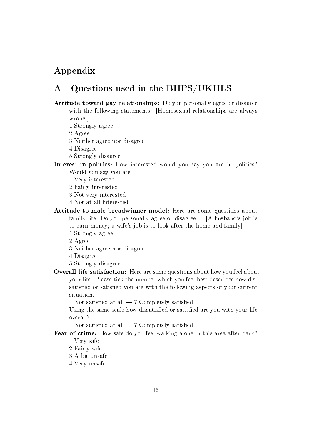# Appendix

## A Questions used in the BHPS/UKHLS

Attitude toward gay relationships: Do you personally agree or disagree with the following statements. [Homosexual relationships are always wrong.]

1 Strongly agree

2 Agree

3 Neither agree nor disagree

4 Disagree

5 Strongly disagree

Interest in politics: How interested would you say you are in politics?

Would you say you are

1 Very interested

2 Fairly interested

3 Not very interested

4 Not at all interested

Attitude to male breadwinner model: Here are some questions about family life. Do you personally agree or disagree ... [A husband's job is to earn money; a wife's job is to look after the home and family]

1 Strongly agree

2 Agree

3 Neither agree nor disagree

4 Disagree

5 Strongly disagree

Overall life satisfaction: Here are some questions about how you feel about your life. Please tick the number which you feel best describes how dissatisfied or satisfied you are with the following aspects of your current situation.

1 Not satisfied at all  $-7$  Completely satisfied

Using the same scale how dissatisfied or satisfied are you with your life overall?

1 Not satisfied at all  $-7$  Completely satisfied

Fear of crime: How safe do you feel walking alone in this area after dark?

1 Very safe

2 Fairly safe

3 A bit unsafe

4 Very unsafe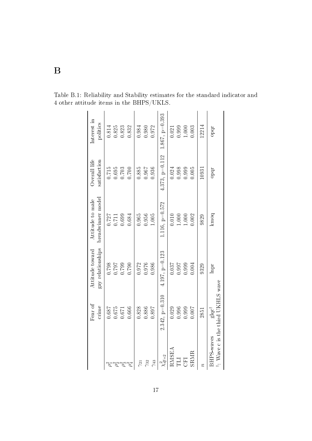<span id="page-17-0"></span>

|                 | Fear of<br>crime                                       | gay relationships<br>Attitude toward | breadwinner model<br>Attitude to male                  | Overall life<br>satisfaction | Interest in<br>politics       |
|-----------------|--------------------------------------------------------|--------------------------------------|--------------------------------------------------------|------------------------------|-------------------------------|
|                 | $0.675$<br>189.0                                       | 0.798                                |                                                        | 0.715<br>0.695               | $0.825\,$<br>$0.814\,$        |
|                 | 0.671                                                  | 0.799<br>1620                        | $\begin{array}{c} 0.727 \\ 0.711 \\ 0.699 \end{array}$ | 0.703                        | 0.823                         |
|                 | 0.666                                                  | 0.790                                | 0.684                                                  | 0.700                        | 0.832                         |
| $\gamma_{21}$   | 0.828                                                  | 0.972                                | $0.965\,$                                              | 0.885                        | 0.984                         |
| $\gamma_{32}$   | 0.886                                                  | 0.976                                | 0.956                                                  | 0.967                        | 0.980                         |
| $\gamma_{43}$   | 0.897                                                  | 0.986                                | 1.005                                                  | 0.936                        | 0.972                         |
| $\chi^2_{df=2}$ | $2.342, p=0.310$                                       | $4.197, p=0.123$                     | $1.116, p=0.572$                                       |                              | 4.373, p=0.112 1.867, p=0.393 |
| RMSEA           | 0.029                                                  | 0.037                                | 0.010                                                  | 0.024                        | 0.021                         |
|                 | 0.996                                                  | 0.997                                | 1.000                                                  | 0.998                        | 0.999                         |
| CFI             | 0.999                                                  | 0.999                                | 1.000                                                  | 0.999                        | 1.000                         |
| <b>SRMR</b>     | 1.007                                                  | 0.004                                | 0.002                                                  | 0.005                        | 0.003                         |
|                 | 2851                                                   | 9329                                 | 9829                                                   | 10931                        | 12214                         |
| BHPS-waves      | ": Wave c is the third UKHLS wave<br>glqc <sup>t</sup> | Inpr                                 | kmoq                                                   | opqr                         | opqr                          |

Table B.1: Reliability and Stability estimates for the standard indicator and 4 other attitude items in the BHPS/UKLS.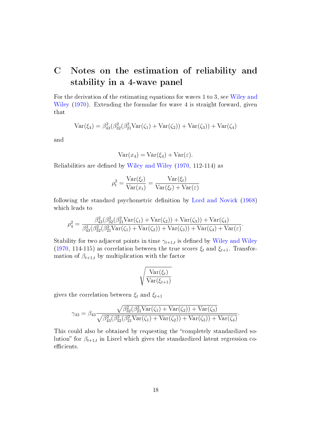# <span id="page-18-0"></span>C Notes on the estimation of reliability and stability in a 4-wave panel

For the derivation of the estimating equations for waves 1 to 3, see [Wiley and](#page-23-0) [Wiley](#page-23-0) [\(1970\)](#page-23-0). Extending the formulae for wave 4 is straight forward, given that

$$
Var(\xi_4) = \beta_{43}^2(\beta_{32}^2(\beta_{21}^2 Var(\zeta_1) + Var(\zeta_2)) + Var(\zeta_3)) + Var(\zeta_4)
$$

and

$$
Var(x_4) = Var(\xi_4) + Var(\varepsilon).
$$

Reliabilities are defined by [Wiley and Wiley](#page-23-0) [\(1970,](#page-23-0) 112-114) as

$$
\rho_t^2 = \frac{\text{Var}(\xi_t)}{\text{Var}(x_t)} = \frac{\text{Var}(\xi_t)}{\text{Var}(\xi_t) + \text{Var}(\varepsilon)}
$$

following the standard psychometric definition by [Lord and Novick](#page-21-3) [\(1968\)](#page-21-3) which leads to

$$
\rho_4^2 = \frac{\beta_{43}^2(\beta_{32}^2(\beta_{21}^2 \text{Var}(\zeta_1) + \text{Var}(\zeta_2)) + \text{Var}(\zeta_3)) + \text{Var}(\zeta_4)}{\beta_{43}^2(\beta_{32}^2(\beta_{21}^2 \text{Var}(\zeta_1) + \text{Var}(\zeta_2)) + \text{Var}(\zeta_3)) + \text{Var}(\zeta_4) + \text{Var}(\varepsilon)}.
$$

Stability for two adjacent points in time  $\gamma_{t+1,t}$  is defined by [Wiley and Wiley](#page-23-0) [\(1970,](#page-23-0) 114-115) as correlation between the true scores  $\xi_t$  and  $\xi_{t+1}$ . Transformation of  $\beta_{t+1,t}$  by multiplication with the factor

$$
\sqrt{\frac{\text{Var}(\xi_t)}{\text{Var}(\xi_{t+1})}}
$$

gives the correlation between  $\xi_t$  and  $\xi_{t+1}$ 

$$
\gamma_{43} = \beta_{43} \frac{\sqrt{\beta_{32}^2(\beta_{21}^2 \text{Var}(\zeta_1) + \text{Var}(\zeta_2)) + \text{Var}(\zeta_3)}}{\sqrt{\beta_{43}^2(\beta_{32}^2(\beta_{21}^2 \text{Var}(\zeta_1) + \text{Var}(\zeta_2)) + \text{Var}(\zeta_3)) + \text{Var}(\zeta_4)}}.
$$

This could also be obtained by requesting the "completely standardized solution" for  $\beta_{t+1,t}$  in Lisrel which gives the standardized latent regression coefficients.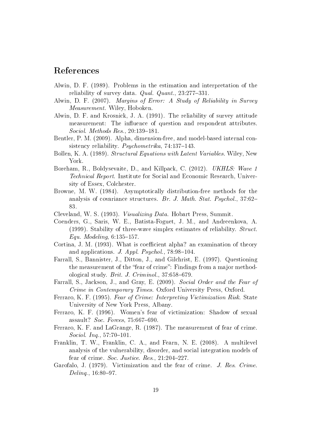#### References

- <span id="page-19-1"></span>Alwin, D. F. (1989). Problems in the estimation and interpretation of the reliability of survey data. Qual. Quant.,  $23:277-331$ .
- <span id="page-19-2"></span>Alwin, D. F. (2007). Margins of Error: A Study of Reliability in Survey Measurement. Wiley, Hoboken.
- <span id="page-19-12"></span>Alwin, D. F. and Krosnick, J. A. (1991). The reliability of survey attitude measurement: The influence of question and respondent attributes. Sociol. Methods Res.,  $20:139-181$ .
- <span id="page-19-9"></span>Bentler, P. M. (2009). Alpha, dimension-free, and model-based internal consistency reliability. *Psychometrika*,  $74:137-143$ .
- <span id="page-19-13"></span>Bollen, K. A. (1989). Structural Equations with Latent Variables. Wiley, New York.
- <span id="page-19-15"></span>Boreham, R., Boldysevaite, D., and Killpack, C. (2012). UKHLS: Wave 1 Technical Report. Institute for Social and Economic Research, University of Essex, Colchester.
- <span id="page-19-14"></span>Browne, M. W. (1984). Asymptotically distribution-free methods for the analysis of covariance structures. Br. J. Math. Stat. Psychol., 37:62 83.
- <span id="page-19-16"></span>Cleveland, W. S. (1993). Visualizing Data. Hobart Press, Summit.
- <span id="page-19-11"></span>Coenders, G., Saris, W. E., Batista-Foguet, J. M., and Andreenkova, A. (1999). Stability of three-wave simplex estimates of reliability. Struct. Equ. Modeling,  $6:135-157$ .
- <span id="page-19-10"></span>Cortina, J. M. (1993). What is coefficient alpha? an examination of theory and applications. J. Appl. Psychol.,  $78:98-104$ .
- <span id="page-19-4"></span>Farrall, S., Bannister, J., Ditton, J., and Gilchrist, E. (1997). Questioning the measurement of the "fear of crime": Findings from a major methodological study. *Brit. J. Criminol.*,  $37:658-679$ .
- <span id="page-19-0"></span>Farrall, S., Jackson, J., and Gray, E. (2009). Social Order and the Fear of Crime in Contemporary Times. Oxford University Press, Oxford.
- <span id="page-19-8"></span>Ferraro, K. F. (1995). Fear of Crime: Interpreting Victimization Risk. State University of New York Press, Albany.
- <span id="page-19-7"></span>Ferraro, K. F. (1996). Women's fear of victimization: Shadow of sexual assault? Soc. Forces,  $75:667-690$ .
- <span id="page-19-6"></span>Ferraro, K. F. and LaGrange, R. (1987). The measurement of fear of crime.  $Social. Inq. 57:70-101.$
- <span id="page-19-3"></span>Franklin, T. W., Franklin, C. A., and Fearn, N. E. (2008). A multilevel analysis of the vulnerability, disorder, and social integration models of fear of crime. Soc. Justice. Res.,  $21:204-227$ .
- <span id="page-19-5"></span>Garofalo, J. (1979). Victimization and the fear of crime. J. Res. Crime.  $Deling.$ , 16:80-97.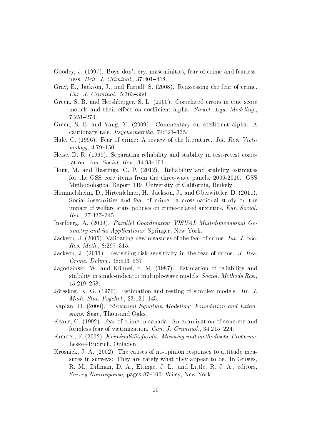- <span id="page-20-6"></span>Goodey, J. (1997). Boys don't cry. masculinities, fear of crime and fearlessness. *Brit. J. Criminol.*,  $37:401-418$ .
- <span id="page-20-9"></span>Gray, E., Jackson, J., and Farrall, S. (2008). Reassessing the fear of crime. Eur. J. Criminol., 5:363-380.
- <span id="page-20-11"></span>Green, S. B. and Hershberger, S. L. (2000). Correlated errors in true score models and their effect on coefficient alpha. Struct. Equ. Modeling. 7:251-270.
- <span id="page-20-10"></span>Green, S. B. and Yang, Y. (2009). Commentary on coefficient alpha: A cautionary tale. Psychometrika,  $74:121-135$ .
- <span id="page-20-3"></span>Hale, C. (1996). Fear of crime: A review of the literature. Int. Rev. Victi $mology, 4:79-150.$
- <span id="page-20-12"></span>Heise, D. R. (1969). Separating reliability and stability in test-retest correlation. Am. Sociol. Rev.,  $34:93-101$ .
- <span id="page-20-16"></span>Hout, M. and Hastings, O. P. (2012). Reliability and stability estimates for the GSS core items from the three-wave panels, 2006-2010. GSS Methodological Report 119, University of California, Berkely.
- <span id="page-20-1"></span>Hummelsheim, D., Hirtenlehner, H., Jackson, J., and Oberwittler, D. (2011). Social insecurities and fear of crime: a cross-national study on the impact of welfare state policies on crime-related anxieties. Eur. Sociol.  $Rev.$ ,  $27:327-345.$
- <span id="page-20-15"></span>Inselberg, A. (2009). Parallel Coordinates: VISUAL Multidimensional Geometry and its Applications. Springer, New York.
- <span id="page-20-4"></span>Jackson, J. (2005). Validating new measures of the fear of crime. Int. J. Soc. Res. Meth.,  $8:297-315$ .
- <span id="page-20-0"></span>Jackson, J. (2011). Revisiting risk sensitivity in the fear of crime. J. Res.  $C$ *rime.*  $Deling.$ ,  $48:513-537.$
- <span id="page-20-13"></span>Jagodzinski, W. and Kühnel, S. M. (1987). Estimation of reliability and stability in single-indicator multiple-wave models. Sociol. Methods Res., 15:219-258.
- <span id="page-20-2"></span>Jöreskog, K. G. (1970). Estimation and testing of simplex models. Br. J. *Math. Stat. Psychol.*,  $23:121-145$ .
- <span id="page-20-14"></span>Kaplan, D. (2000). Structural Equation Modeling: Foundation and Extensions. Sage, Thousand Oaks.
- <span id="page-20-8"></span>Keane, C. (1992). Fear of crime in canada: An examination of concrete and formless fear of victimization. Can. J. Criminol.,  $34:215-224$ .
- <span id="page-20-5"></span>Kreuter, F. (2002). Kriminalitätsfurcht: Messung und methodische Probleme. Leske+Budrich, Opladen.
- <span id="page-20-7"></span>Krosnick, J. A. (2002). The causes of no-opinion responses to attitude measures in surveys: They are rarely what they appear to be. In Groves, R. M., Dillman, D. A., Eltinge, J. L., and Little, R. J. A., editors, Survey Nonresponse, pages 87-100. Wiley, New York.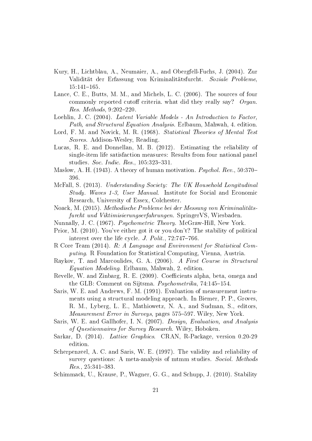- <span id="page-21-5"></span>Kury, H., Lichtblau, A., Neumaier, A., and Obergfell-Fuchs, J. (2004). Zur Validität der Erfassung von Kriminalitätsfurcht. Soziale Probleme,  $15:141 - 165.$
- <span id="page-21-16"></span>Lance, C. E., Butts, M. M., and Michels, L. C. (2006). The sources of four commonly reported cutoff criteria. what did they really say? Organ.  $Res.$  *Methods*,  $9:202-220$ .
- <span id="page-21-9"></span>Loehlin, J. C. (2004). Latent Variable Models - An Introduction to Factor, Path, and Structural Equation Analysis. Erlbaum, Mahwah, 4. edition.
- <span id="page-21-3"></span>Lord, F. M. and Novick, M. R. (1968). Statistical Theories of Mental Test Scores. Addison-Wesley, Reading.
- <span id="page-21-14"></span>Lucas, R. E. and Donnellan, M. B. (2012). Estimating the reliability of single-item life satisfaction measures: Results from four national panel studies. Soc. Indic. Res.,  $105:323-331$ .
- <span id="page-21-0"></span>Maslow, A. H. (1943). A theory of human motivation. *Psychol. Rev.*, 50:370– 396.
- <span id="page-21-10"></span>McFall, S. (2013). Understanding Society: The UK Household Longitudinal Study. Waves 1-3, User Manual. Institute for Social and Economic Research, University of Essex, Colchester.
- <span id="page-21-4"></span>Noack, M. (2015). Methodische Probleme bei der Messung von Kriminalitätsfurcht und Viktimisierungserfahrungen. SpringerVS, Wiesbaden.
- <span id="page-21-17"></span>Nunnally, J. C. (1967). Psychometric Theory. McGraw-Hill, New York.
- <span id="page-21-13"></span>Prior, M. (2010). You've either got it or you don't? The stability of political interest over the life cycle.  $J.$  Polit., 72:747-766.
- <span id="page-21-11"></span>R Core Team (2014). R: A Language and Environment for Statistical Computing. R Foundation for Statistical Computing, Vienna, Austria.
- <span id="page-21-8"></span>Raykov, T. and Marcoulides, G. A. (2006). A First Course in Structural Equation Modeling. Erlbaum, Mahwah, 2. edition.
- <span id="page-21-6"></span>Revelle, W. and Zinbarg, R. E. (2009). Coefficients alpha, beta, omega and the GLB: Comment on Sijtsma.  $Psychometrika$ , 74:145-154.
- <span id="page-21-1"></span>Saris, W. E. and Andrews, F. M. (1991). Evaluation of measurement instruments using a structural modeling approach. In Biemer, P. P., Groves, R. M., Lyberg, L. E., Mathiowetz, N. A., and Sudman, S., editors, Measurement Error in Surveys, pages 575–597. Wiley, New York.
- <span id="page-21-7"></span>Saris, W. E. and Gallhofer, I. N. (2007). Design, Evaluation, and Analysis of Questionnaires for Survey Research. Wiley, Hoboken.
- <span id="page-21-12"></span>Sarkar, D. (2014). Lattice Graphics. CRAN, R-Package, version 0.20-29 edition.
- <span id="page-21-2"></span>Scherpenzeel, A. C. and Saris, W. E. (1997). The validity and reliability of survey questions: A meta-analysis of mtmm studies. Sociol. Methods  $Res.$ , 25:341-383.
- <span id="page-21-15"></span>Schimmack, U., Krause, P., Wagner, G. G., and Schupp, J. (2010). Stability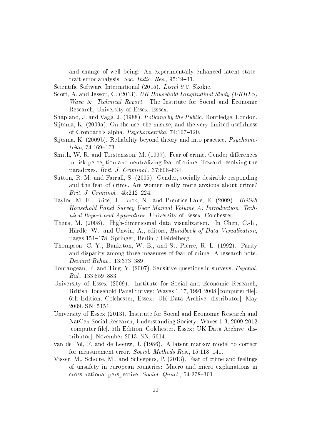and change of well being: An experimentally enhanced latent statetrait-error analysis. Soc. Indic. Res.,  $95:19-31$ .

<span id="page-22-14"></span>Scientific Software International (2015). Lisrel 9.2. Skokie.

<span id="page-22-12"></span>Scott, A. and Jessop, C. (2013). UK Household Longitudinal Study (UKHLS) Wave 3: Technical Report. The Institute for Social and Economic Research, University of Essex, Essex.

<span id="page-22-2"></span>Shapland, J. and Vagg, J. (1988). Policing by the Public. Routledge, London.

- <span id="page-22-7"></span>Sijtsma, K. (2009a). On the use, the misuse, and the very limited usefulness of Cronbach's alpha. *Psychometrika*,  $74:107-120$ .
- <span id="page-22-8"></span>Sijtsma, K. (2009b). Reliability beyond theory and into practice. Psychome $trika$ , 74:169-173.
- <span id="page-22-3"></span>Smith, W. R. and Torstensson, M. (1997). Fear of crime. Gender differences in risk perception and neutralizing fear of crime. Toward resolving the paradoxes. Brit. J. Criminol.,  $37:608-634$ .
- <span id="page-22-4"></span>Sutton, R. M. and Farrall, S. (2005). Gender, socially desirable responding and the fear of crime. Are women really more anxious about crime? Brit. J. Criminol.,  $45:212-224$ .
- <span id="page-22-11"></span>Taylor, M. F., Brice, J., Buck, N., and Prentice-Lane, E. (2009). British Household Panel Survey User Manual Volume A: Introduction, Technical Report and Appendices. University of Essex, Colchester.
- <span id="page-22-13"></span>Theus, M. (2008). High-dimensional data visualization. In Chen, C.-h., Härdle, W., and Unwin, A., editors, Handbook of Data Visualization, pages  $151-178$ . Springer, Berlin / Heidelberg.
- <span id="page-22-6"></span>Thompson, C. Y., Bankston, W. B., and St. Pierre, R. L. (1992). Parity and disparity among three measures of fear of crime: A research note. Deviant Behav., 13:373-389.
- <span id="page-22-5"></span>Tourangeau, R. and Ting, Y. (2007). Sensitive questions in surveys. Psychol.  $Bul., 133:859-883.$
- <span id="page-22-9"></span>University of Essex (2009). Institute for Social and Economic Research, British Household Panel Survey: Waves 1-17, 1991-2008 [computer file]. 6th Edition. Colchester, Essex: UK Data Archive [distributor], May 2009. SN: 5151.
- <span id="page-22-10"></span>University of Essex (2013). Institute for Social and Economic Research and NatCen Social Research, Understanding Society: Waves 1-3, 2009-2012 [computer le]. 5th Edition. Colchester, Essex: UK Data Archive [distributor], November 2013. SN: 6614.
- <span id="page-22-1"></span>van de Pol, F. and de Leeuw, J. (1986). A latent markov model to correct for measurement error. Sociol. Methods Res., 15:118-141.
- <span id="page-22-0"></span>Visser, M., Scholte, M., and Scheepers, P. (2013). Fear of crime and feelings of unsafety in european countries: Macro and micro explanations in cross-national perspective. Sociol. Quart.,  $54:278-301$ .